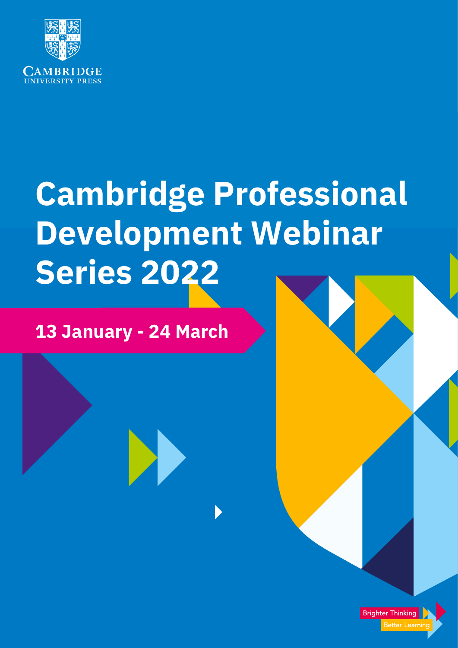

# **Cambridge Professional Development Webinar Series 2022**

**Brighter Thinking** 

Better Learnir

# **13 January - 24 March**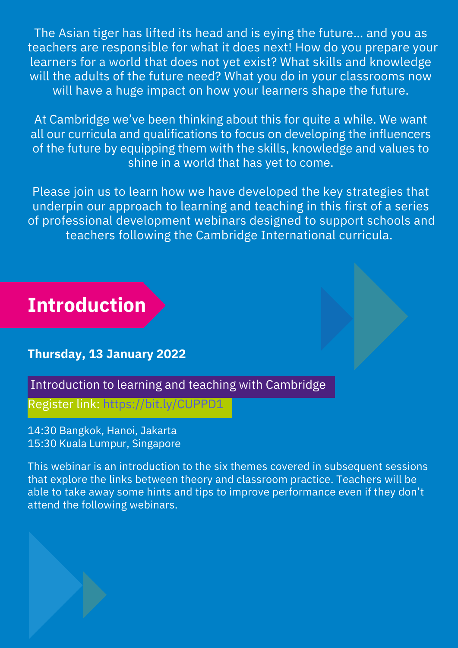The Asian tiger has lifted its head and is eying the future… and you as teachers are responsible for what it does next! How do you prepare your learners for a world that does not yet exist? What skills and knowledge will the adults of the future need? What you do in your classrooms now will have a huge impact on how your learners shape the future.

At Cambridge we've been thinking about this for quite a while. We want all our curricula and qualifications to focus on developing the influencers of the future by equipping them with the skills, knowledge and values to shine in a world that has yet to come.

Please join us to learn how we have developed the key strategies that underpin our approach to learning and teaching in this first of a series of professional development webinars designed to support schools and teachers following the Cambridge International curricula.

# **Introduction**

## **Thursday, 13 January 2022**

Introduction to learning and teaching with Cambridge

Register link: https://bit.ly/CUPPD1

14:30 Bangkok, Hanoi, Jakarta 15:30 Kuala Lumpur, Singapore

This webinar is an introduction to the six themes covered in subsequent sessions that explore the links between theory and classroom practice. Teachers will be able to take away some hints and tips to improve performance even if they don't attend the following webinars.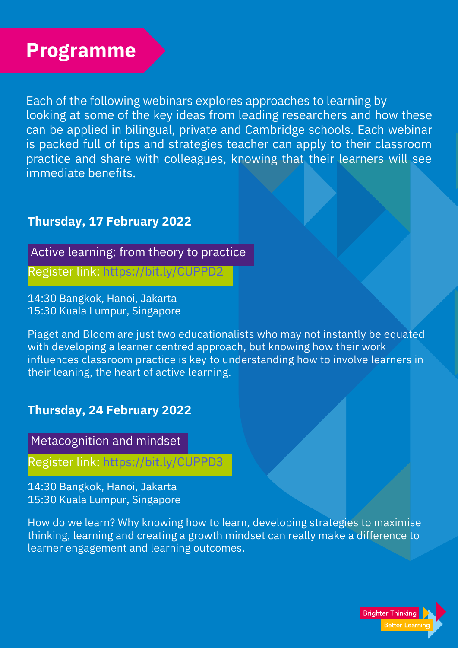# **Programme**

Each of the following webinars explores approaches to learning by looking at some of the key ideas from leading researchers and how these can be applied in bilingual, private and Cambridge schools. Each webinar is packed full of tips and strategies teacher can apply to their classroom practice and share with colleagues, knowing that their learners will see immediate benefits.

## **Thursday, 17 February 2022**

Active learning: from theory to practice

Register link: https://bit.ly/CUPPD2

14:30 Bangkok, Hanoi, Jakarta 15:30 Kuala Lumpur, Singapore

Piaget and Bloom are just two educationalists who may not instantly be equated with developing a learner centred approach, but knowing how their work influences classroom practice is key to understanding how to involve learners in their leaning, the heart of active learning.

## **Thursday, 24 February 2022**

Metacognition and mindset

Register link: https://bit.ly/CUPPD3

14:30 Bangkok, Hanoi, Jakarta 15:30 Kuala Lumpur, Singapore

How do we learn? Why knowing how to learn, developing strategies to maximise thinking, learning and creating a growth mindset can really make a difference to learner engagement and learning outcomes.

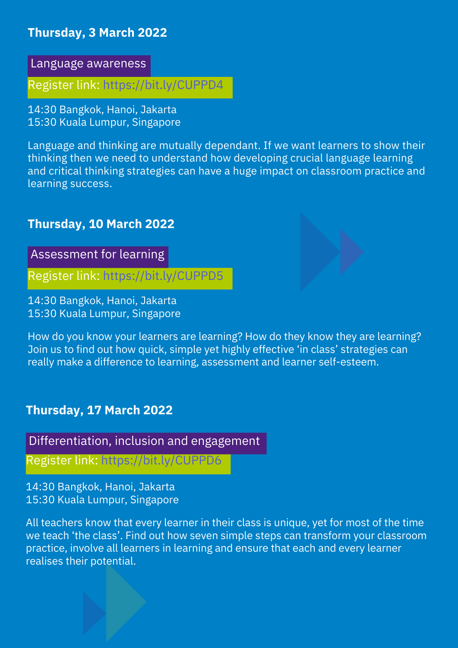## **Thursday, 3 March 2022**

Language awareness

Register link: https://bit.ly/CUPPD4

14:30 Bangkok, Hanoi, Jakarta 15:30 Kuala Lumpur, Singapore

Language and thinking are mutually dependant. If we want learners to show their thinking then we need to understand how developing crucial language learning and critical thinking strategies can have a huge impact on classroom practice and learning success.

#### **Thursday, 10 March 2022**

Assessment for learning

Register link: https://bit.ly/CUPPD5

14:30 Bangkok, Hanoi, Jakarta 15:30 Kuala Lumpur, Singapore

How do you know your learners are learning? How do they know they are learning? Join us to find out how quick, simple yet highly effective 'in class' strategies can really make a difference to learning, assessment and learner self-esteem.

#### **Thursday, 17 March 2022**

Differentiation, inclusion and engagement

Register link: https://bit.ly/CUPPD6

14:30 Bangkok, Hanoi, Jakarta 15:30 Kuala Lumpur, Singapore

All teachers know that every learner in their class is unique, yet for most of the time we teach 'the class'. Find out how seven simple steps can transform your classroom practice, involve all learners in learning and ensure that each and every learner realises their potential.